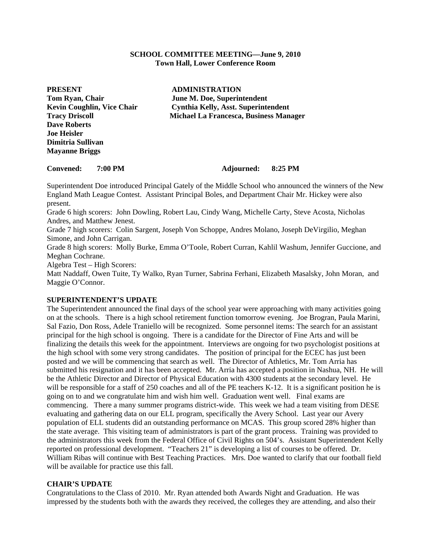### **SCHOOL COMMITTEE MEETING—June 9, 2010 Town Hall, Lower Conference Room**

**PRESENT ADMINISTRATION Dave Roberts Joe Heisler Dimitria Sullivan Mayanne Briggs** 

**Tom Ryan, Chair June M. Doe, Superintendent Kevin Coughlin, Vice Chair Cynthia Kelly, Asst. Superintendent Tracy Driscoll Michael La Francesca, Business Manager** 

**Convened:** 7:00 PM **Adjourned:** 8:25 PM

Superintendent Doe introduced Principal Gately of the Middle School who announced the winners of the New England Math League Contest. Assistant Principal Boles, and Department Chair Mr. Hickey were also present.

Grade 6 high scorers: John Dowling, Robert Lau, Cindy Wang, Michelle Carty, Steve Acosta, Nicholas Andres, and Matthew Jenest.

Grade 7 high scorers: Colin Sargent, Joseph Von Schoppe, Andres Molano, Joseph DeVirgilio, Meghan Simone, and John Carrigan.

Grade 8 high scorers: Molly Burke, Emma O'Toole, Robert Curran, Kahlil Washum, Jennifer Guccione, and Meghan Cochrane.

Algebra Test – High Scorers:

Matt Naddaff, Owen Tuite, Ty Walko, Ryan Turner, Sabrina Ferhani, Elizabeth Masalsky, John Moran, and Maggie O'Connor.

## **SUPERINTENDENT'S UPDATE**

The Superintendent announced the final days of the school year were approaching with many activities going on at the schools. There is a high school retirement function tomorrow evening. Joe Brogran, Paula Marini, Sal Fazio, Don Ross, Adele Traniello will be recognized. Some personnel items: The search for an assistant principal for the high school is ongoing. There is a candidate for the Director of Fine Arts and will be finalizing the details this week for the appointment. Interviews are ongoing for two psychologist positions at the high school with some very strong candidates. The position of principal for the ECEC has just been posted and we will be commencing that search as well. The Director of Athletics, Mr. Tom Arria has submitted his resignation and it has been accepted. Mr. Arria has accepted a position in Nashua, NH. He will be the Athletic Director and Director of Physical Education with 4300 students at the secondary level. He will be responsible for a staff of 250 coaches and all of the PE teachers K-12. It is a significant position he is going on to and we congratulate him and wish him well. Graduation went well. Final exams are commencing. There a many summer programs district-wide. This week we had a team visiting from DESE evaluating and gathering data on our ELL program, specifically the Avery School. Last year our Avery population of ELL students did an outstanding performance on MCAS. This group scored 28% higher than the state average. This visiting team of administrators is part of the grant process. Training was provided to the administrators this week from the Federal Office of Civil Rights on 504's. Assistant Superintendent Kelly reported on professional development. "Teachers 21" is developing a list of courses to be offered. Dr. William Ribas will continue with Best Teaching Practices. Mrs. Doe wanted to clarify that our football field will be available for practice use this fall.

## **CHAIR'S UPDATE**

Congratulations to the Class of 2010. Mr. Ryan attended both Awards Night and Graduation. He was impressed by the students both with the awards they received, the colleges they are attending, and also their